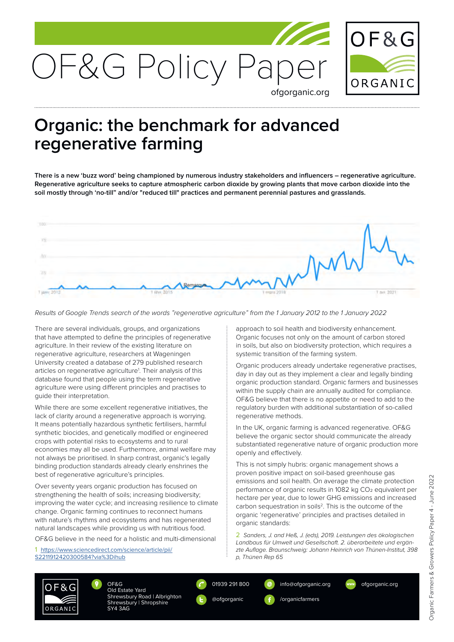

## **Organic: the benchmark for advanced regenerative farming**

**There is a new 'buzz word' being championed by numerous industry stakeholders and influencers – regenerative agriculture. Regenerative agriculture seeks to capture atmospheric carbon dioxide by growing plants that move carbon dioxide into the soil mostly through 'no-till" and/or "reduced till" practices and permanent perennial pastures and grasslands.** 



*Results of Google Trends search of the words "regenerative agriculture" from the 1 January 2012 to the 1 January 2022*

There are several individuals, groups, and organizations that have attempted to define the principles of regenerative agriculture. In their review of the existing literature on regenerative agriculture, researchers at Wageningen University created a database of 279 published research articles on regenerative agriculture<sup>1</sup>. Their analysis of this database found that people using the term regenerative agriculture were using different principles and practises to guide their interpretation.

While there are some excellent regenerative initiatives, the lack of clarity around a regenerative approach is worrying. It means potentially hazardous synthetic fertilisers, harmful synthetic biocides, and genetically modified or engineered crops with potential risks to ecosystems and to rural economies may all be used. Furthermore, animal welfare may not always be prioritised. In sharp contrast, organic's legally binding production standards already clearly enshrines the best of regenerative agriculture's principles.

Over seventy years organic production has focused on strengthening the health of soils; increasing biodiversity; improving the water cycle; and increasing resilience to climate change. Organic farming continues to reconnect humans with nature's rhythms and ecosystems and has regenerated natural landscapes while providing us with nutritious food.

OF&G believe in the need for a holistic and multi-dimensional

1 [https://www.sciencedirect.com/science/article/pii/](https://www.sciencedirect.com/science/article/pii/S2211912420300584?via%3Dihub) [S2211912420300584?via%3Dihub](https://www.sciencedirect.com/science/article/pii/S2211912420300584?via%3Dihub)

approach to soil health and biodiversity enhancement. Organic focuses not only on the amount of carbon stored in soils, but also on biodiversity protection, which requires a systemic transition of the farming system.

Organic producers already undertake regenerative practises, day in day out as they implement a clear and legally binding organic production standard. Organic farmers and businesses within the supply chain are annually audited for compliance. OF&G believe that there is no appetite or need to add to the regulatory burden with additional substantiation of so-called regenerative methods.

In the UK, organic farming is advanced regenerative. OF&G believe the organic sector should communicate the already substantiated regenerative nature of organic production more openly and effectively.

This is not simply hubris: organic management shows a proven positive impact on soil-based greenhouse gas emissions and soil health. On average the climate protection performance of organic results in 1082 kg CO<sub>2</sub> equivalent per hectare per year, due to lower GHG emissions and increased carbon sequestration in soils<sup>2</sup>. This is the outcome of the organic 'regenerative' principles and practises detailed in organic standards:

2 *Sanders, J. and Heß, J. (eds), 2019. Leistungen des ökologischen Landbaus für Umwelt und Gesellschaft. 2. überarbeitete und ergänzte Auflage. Braunschweig: Johann Heinrich von Thünen-Institut, 398 p, Thünen Rep 65*



OF&G Old Estate Yard Shrewsbury Road | Albrighton Shrewsbury | Shropshire SY4 3AG

01939 291 800 @ofgorganic

info@ofgorganic.org /organicfarmers



ofgorganic.org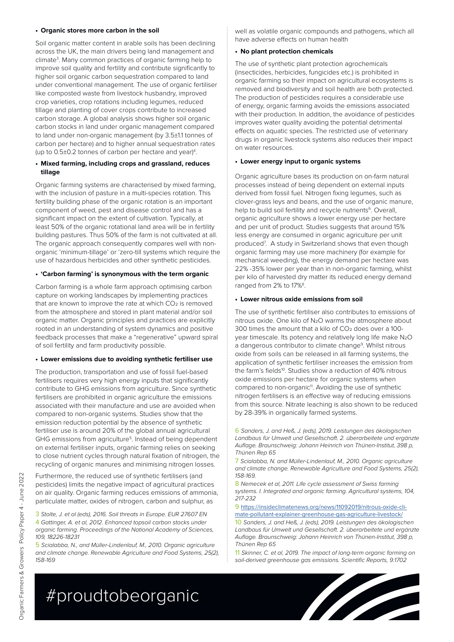#### **• Organic stores more carbon in the soil**

Soil organic matter content in arable soils has been declining across the UK, the main drivers being land management and climate3 . Many common practices of organic farming help to improve soil quality and fertility and contribute significantly to higher soil organic carbon sequestration compared to land under conventional management. The use of organic fertiliser like composted waste from livestock husbandry, improved crop varieties, crop rotations including legumes, reduced tillage and planting of cover crops contribute to increased carbon storage. A global analysis shows higher soil organic carbon stocks in land under organic management compared to land under non-organic management (by 3.5±1.1 tonnes of carbon per hectare) and to higher annual sequestration rates (up to 0.5±0.2 tonnes of carbon per hectare and year)<sup>4</sup>.

#### **• Mixed farming, including crops and grassland, reduces tillage**

Organic farming systems are characterised by mixed farming, with the inclusion of pasture in a multi-species rotation. This fertility building phase of the organic rotation is an important component of weed, pest and disease control and has a significant impact on the extent of cultivation. Typically, at least 50% of the organic rotational land area will be in fertility building pastures. Thus 50% of the farm is not cultivated at all. The organic approach consequently compares well with nonorganic 'minimum-tillage' or 'zero-till systems which require the use of hazardous herbicides and other synthetic pesticides.

#### **• 'Carbon farming' is synonymous with the term organic**

Carbon farming is a whole farm approach optimising carbon capture on working landscapes by implementing practices that are known to improve the rate at which CO2 is removed from the atmosphere and stored in plant material and/or soil organic matter. Organic principles and practices are explicitly rooted in an understanding of system dynamics and positive feedback processes that make a "regenerative" upward spiral of soil fertility and farm productivity possible.

#### **• Lower emissions due to avoiding synthetic fertiliser use**

The production, transportation and use of fossil fuel-based fertilisers requires very high energy inputs that significantly contribute to GHG emissions from agriculture. Since synthetic fertilisers are prohibited in organic agriculture the emissions associated with their manufacture and use are avoided when compared to non-organic systems. Studies show that the emission reduction potential by the absence of synthetic fertiliser use is around 20% of the global annual agricultural GHG emissions from agriculture5. Instead of being dependent on external fertiliser inputs, organic farming relies on seeking to close nutrient cycles through natural fixation of nitrogen, the recycling of organic manures and minimising nitrogen losses.

Furthermore, the reduced use of synthetic fertilisers (and pesticides) limits the negative impact of agricultural practices on air quality. Organic farming reduces emissions of ammonia, particulate matter, oxides of nitrogen, carbon and sulphur, as

3 *Stolte, J. et al (eds), 2016. Soil threats in Europe. EUR 27607 EN* 4 *Gattinger, A. et al, 2012. Enhanced topsoil carbon stocks under organic farming. Proceedings of the National Academy of Sciences, 109, 18226-18231*

5 *Scialabba, N., and Müller-Lindenlauf, M., 2010. Organic agriculture and climate change. Renewable Agriculture and Food Systems, 25(2), 158-169*

well as volatile organic compounds and pathogens, which all have adverse effects on human health

#### **• No plant protection chemicals**

The use of synthetic plant protection agrochemicals (insecticides, herbicides, fungicides etc.) is prohibited in organic farming so their impact on agricultural ecosystems is removed and biodiversity and soil health are both protected. The production of pesticides requires a considerable use of energy, organic farming avoids the emissions associated with their production. In addition, the avoidance of pesticides improves water quality avoiding the potential detrimental effects on aquatic species. The restricted use of veterinary drugs in organic livestock systems also reduces their impact on water resources.

#### **• Lower energy input to organic systems**

Organic agriculture bases its production on on-farm natural processes instead of being dependent on external inputs derived from fossil fuel. Nitrogen fixing legumes, such as clover-grass leys and beans, and the use of organic manure, help to build soil fertility and recycle nutrients<sup>6</sup>. Overall, organic agriculture shows a lower energy use per hectare and per unit of product. Studies suggests that around 15% less energy are consumed in organic agriculture per unit produced<sup>7</sup>. A study in Switzerland shows that even though organic farming may use more machinery (for example for mechanical weeding), the energy demand per hectare was 22% -35% lower per year than in non-organic farming, whilst per kilo of harvested dry matter its reduced energy demand ranged from 2% to 17%<sup>8</sup>.

#### **• Lower nitrous oxide emissions from soil**

The use of synthetic fertiliser also contributes to emissions of nitrous oxide. One kilo of N2O warms the atmosphere about 300 times the amount that a kilo of CO<sub>2</sub> does over a 100year timescale. Its potency and relatively long life make N2O a dangerous contributor to climate change<sup>9</sup>. Whilst nitrous oxide from soils can be released in all farming systems, the application of synthetic fertiliser increases the emission from the farm's fields<sup>10</sup>. Studies show a reduction of 40% nitrous oxide emissions per hectare for organic systems when compared to non-organic<sup>11</sup>. Avoiding the use of synthetic nitrogen fertilisers is an effective way of reducing emissions from this source. Nitrate leaching is also shown to be reduced by 28-39% in organically farmed systems.

7 *Scialabba, N. and Müller-Lindenlauf, M., 2010. Organic agriculture and climate change. Renewable Agriculture and Food Systems, 25(2), 158-169.* 

8 *Nemecek et al, 2011. Life cycle assessment of Swiss farming systems. I. Integrated and organic farming. Agricultural systems, 104, 217-232*

9 [https://insideclimatenews.org/news/11092019/nitrous-oxide-cli](https://insideclimatenews.org/news/11092019/nitrous-oxide-climate-pollutant-explainer-greenhouse-gas-agriculture-livestock/)[mate-pollutant-explainer-greenhouse-gas-agriculture-livestock/](https://insideclimatenews.org/news/11092019/nitrous-oxide-climate-pollutant-explainer-greenhouse-gas-agriculture-livestock/)

10 *Sanders, J. and Heß, J. (eds), 2019. Leistungen des ökologischen Landbaus für Umwelt und Gesellschaft. 2. überarbeitete und ergänzte Auflage. Braunschweig: Johann Heinrich von Thünen-Institut, 398 p, Thünen Rep 65*

11 *Skinner, C. et al, 2019. The impact of long-term organic farming on soil-derived greenhouse gas emissions. Scientific Reports, 9:1702*





<sup>6</sup> *Sanders, J. and Heß, J. (eds), 2019. Leistungen des ökologischen Landbaus für Umwelt und Gesellschaft. 2. überarbeitete und ergänzte Auflage. Braunschweig: Johann Heinrich von Thünen-Institut, 398 p, Thünen Rep 65*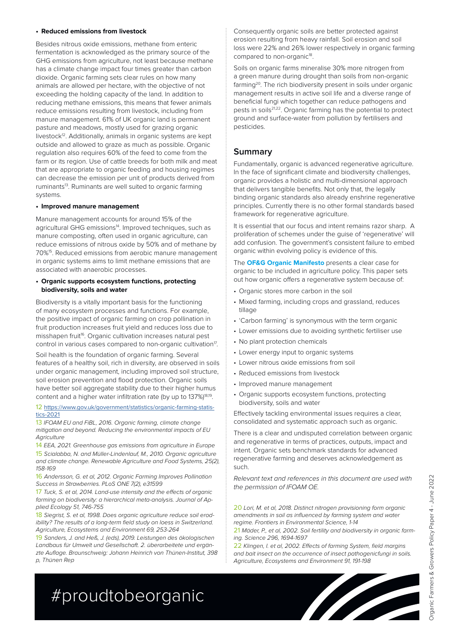#### **• Reduced emissions from livestock**

Besides nitrous oxide emissions, methane from enteric fermentation is acknowledged as the primary source of the GHG emissions from agriculture, not least because methane has a climate change impact four times greater than carbon dioxide. Organic farming sets clear rules on how many animals are allowed per hectare, with the objective of not exceeding the holding capacity of the land. In addition to reducing methane emissions, this means that fewer animals reduce emissions resulting from livestock, including from manure management. 61% of UK organic land is permanent pasture and meadows, mostly used for grazing organic livestock<sup>12</sup>. Additionally, animals in organic systems are kept outside and allowed to graze as much as possible. Organic regulation also requires 60% of the feed to come from the farm or its region. Use of cattle breeds for both milk and meat that are appropriate to organic feeding and housing regimes can decrease the emission per unit of products derived from ruminants<sup>13</sup>. Ruminants are well suited to organic farming systems.

#### **• Improved manure management**

Manure management accounts for around 15% of the agricultural GHG emissions<sup>14</sup>. Improved techniques, such as manure composting, often used in organic agriculture, can reduce emissions of nitrous oxide by 50% and of methane by 70%15. Reduced emissions from aerobic manure management in organic systems aims to limit methane emissions that are associated with anaerobic processes.

#### **• Organic supports ecosystem functions, protecting biodiversity, soils and water**

Biodiversity is a vitally important basis for the functioning of many ecosystem processes and functions. For example, the positive impact of organic farming on crop pollination in fruit production increases fruit yield and reduces loss due to misshapen fruit<sup>16</sup>. Organic cultivation increases natural pest control in various cases compared to non-organic cultivation<sup>17</sup>.

Soil health is the foundation of organic farming. Several features of a healthy soil, rich in diversity, are observed in soils under organic management, including improved soil structure, soil erosion prevention and flood protection. Organic soils have better soil aggregate stability due to their higher humus content and a higher water infiltration rate (by up to 137%)<sup>18,19</sup>.

#### 12 [https://www.gov.uk/government/statistics/organic-farming-statis](https://www.gov.uk/government/statistics/organic-farming-statistics-2021)[tics-2021](https://www.gov.uk/government/statistics/organic-farming-statistics-2021)

13 *IFOAM EU and FiBL, 2016. Organic farming, climate change mitigation and beyond. Reducing the environmental impacts of EU Agriculture*

14 *EEA, 2021. Greenhouse gas emissions from agriculture in Europe* 15 *Scialabba, N. and Müller-Lindenlauf, M., 2010. Organic agriculture and climate change. Renewable Agriculture and Food Systems, 25(2), 158-169*

16 *Andersson, G. et al, 2012. Organic Farming Improves Pollination Success in Strawberries. PLoS ONE 7(2), e31599*

17 *Tuck, S. et al, 2014. Land-use intensity and the effects of organic farming on biodiversity: a hierarchical meta-analysis. Journal of Applied Ecology 51, 746-755*

18 *Siegrist, S. et al, 1998. Does organic agriculture reduce soil erodibility? The results of a long-term field study on loess in Switzerland. Agriculture, Ecosystems and Environment 69, 253-264*

19 *Sanders, J. and Heß, J. (eds), 2019. Leistungen des ökologischen Landbaus für Umwelt und Gesellschaft. 2. überarbeitete und ergänzte Auflage. Braunschweig: Johann Heinrich von Thünen-Institut, 398 p, Thünen Rep*

Consequently organic soils are better protected against erosion resulting from heavy rainfall. Soil erosion and soil loss were 22% and 26% lower respectively in organic farming compared to non-organic<sup>18</sup>.

Soils on organic farms mineralise 30% more nitrogen from a green manure during drought than soils from non-organic farming<sup>20</sup>. The rich biodiversity present in soils under organic management results in active soil life and a diverse range of beneficial fungi which together can reduce pathogens and pests in soils21,22. Organic farming has the potential to protect ground and surface-water from pollution by fertilisers and pesticides.

### **Summary**

Fundamentally, organic is advanced regenerative agriculture. In the face of significant climate and biodiversity challenges, organic provides a holistic and multi-dimensional approach that delivers tangible benefits. Not only that, the legally binding organic standards also already enshrine regenerative principles. Currently there is no other formal standards based framework for regenerative agriculture.

It is essential that our focus and intent remains razor sharp. A proliferation of schemes under the guise of 'regenerative' will add confusion. The government's consistent failure to embed organic within evolving policy is evidence of this.

The **[OF&G Organic Manifesto](https://ofgorganic.org/news/of-g-manifesto-championing-organic-within-agricultural-policy)** presents a clear case for organic to be included in agriculture policy. This paper sets out how organic offers a regenerative system because of:

- Organic stores more carbon in the soil
- Mixed farming, including crops and grassland, reduces tillage
- 'Carbon farming' is synonymous with the term organic
- Lower emissions due to avoiding synthetic fertiliser use
- No plant protection chemicals
- Lower energy input to organic systems
- Lower nitrous oxide emissions from soil
- Reduced emissions from livestock
- Improved manure management
- Organic supports ecosystem functions, protecting biodiversity, soils and water

Effectively tackling environmental issues requires a clear, consolidated and systematic approach such as organic.

There is a clear and undisputed correlation between organic and regenerative in terms of practices, outputs, impact and intent. Organic sets benchmark standards for advanced regenerative farming and deserves acknowledgement as such.

*Relevant text and references in this document are used with the permission of IFOAM OE.*

20 *Lori, M. et al, 2018. Distinct nitrogen provisioning form organic amendments in soil as influenced by farming system and water regime. Frontiers in Environmental Science, 1-14*

21 *Mäder, P., et al, 2002. Soil fertility and biodiversity in organic farming. Science 296, 1694-1697*

22 *Klingen, I. et al, 2002. Effects of farming System, field margins and bait insect on the occurrence of insect pathogenicfungi in soils. Agriculture, Ecosystems and Environment 91, 191-198*

# #proudtobeorganic